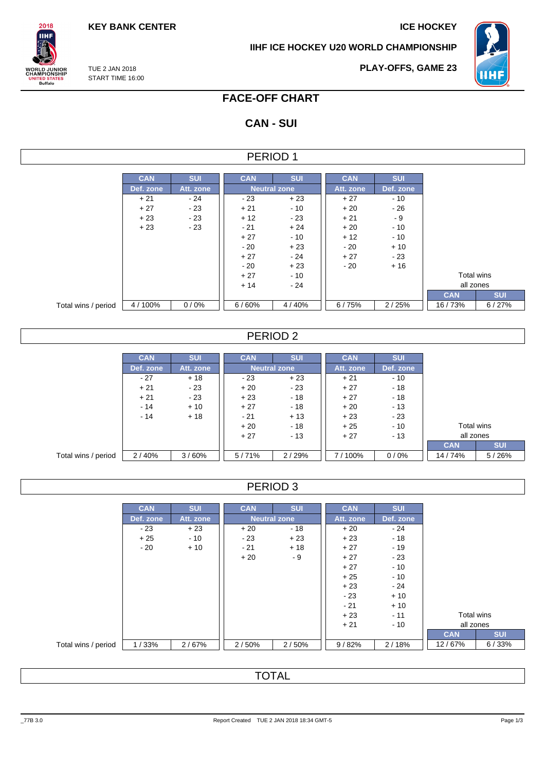**KEY BANK CENTER ICE HOCKEY** 

**IIHF ICE HOCKEY U20 WORLD CHAMPIONSHIP**



TUE 2 JAN 2018 **VORLD JUNIOR<br>HAMPIONSHIP<br>UNITED STATES<br>Buffalo** START TIME 16:00

 $2018$ **IIHF** 

**PLAY-OFFS, GAME 23**

# **FACE-OFF CHART**

## **CAN - SUI**

### PERIOD 1

|                     | <b>CAN</b> | <b>SUI</b> | <b>CAN</b> | <b>SUI</b>          | <b>CAN</b> | <b>SUI</b> |
|---------------------|------------|------------|------------|---------------------|------------|------------|
|                     | Def. zone  | Att. zone  |            | <b>Neutral zone</b> | Att. zone  | Def. zone  |
|                     | $+21$      | - 24       | $-23$      | $+23$               | $+27$      | $-10$      |
|                     | $+27$      | $-23$      | $+21$      | $-10$               | $+20$      | - 26       |
|                     | $+23$      | - 23       | $+12$      | $-23$               | $+21$      | - 9        |
|                     | $+23$      | $-23$      | $-21$      | $+24$               | $+20$      | $-10$      |
|                     |            |            | $+27$      | $-10$               | $+12$      | $-10$      |
|                     |            |            | $-20$      | $+23$               | - 20       | $+10$      |
|                     |            |            | $+27$      | $-24$               | $+27$      | $-23$      |
|                     |            |            | $-20$      | $+23$               | - 20       | $+16$      |
|                     |            |            | $+27$      | $-10$               |            |            |
|                     |            |            | $+14$      | - 24                |            |            |
|                     |            |            |            |                     |            |            |
| Total wins / period | 4/100%     | 0/0%       | 6/60%      | 4/40%               | 6/75%      | 2/25%      |

### PERIOD 2

|                     | <b>CAN</b> | <b>SUI</b> | <b>CAN</b> | <b>SUI</b>          | <b>CAN</b> | <b>SUI</b> |            |            |
|---------------------|------------|------------|------------|---------------------|------------|------------|------------|------------|
|                     | Def. zone  | Att. zone  |            | <b>Neutral zone</b> | Att. zone  | Def. zone  |            |            |
|                     | $-27$      | $+18$      | $-23$      | $+23$               | $+21$      | $-10$      |            |            |
|                     | $+21$      | - 23       | $+20$      | $-23$               | $+27$      | $-18$      |            |            |
|                     | $+21$      | $-23$      | $+23$      | $-18$               | $+27$      | $-18$      |            |            |
|                     | $-14$      | $+10$      | $+27$      | $-18$               | $+20$      | $-13$      |            |            |
|                     | $-14$      | $+18$      | $-21$      | $+13$               | $+23$      | $-23$      |            |            |
|                     |            |            | $+20$      | $-18$               | $+25$      | $-10$      | Total wins |            |
|                     |            |            | $+27$      | $-13$               | $+27$      | $-13$      | all zones  |            |
|                     |            |            |            |                     |            |            | <b>CAN</b> | <b>SUI</b> |
| Total wins / period | 2/40%      | 3/60%      | 5/71%      | 2/29%               | 7/100%     | 0/0%       | 14/74%     | 5/26%      |

### PERIOD 3

|                     | <b>CAN</b> | <b>SUI</b> | <b>CAN</b> | <b>SUI</b>          | <b>CAN</b> | <b>SUI</b> |            |            |
|---------------------|------------|------------|------------|---------------------|------------|------------|------------|------------|
|                     | Def. zone  | Att. zone  |            | <b>Neutral zone</b> | Att. zone  | Def. zone  |            |            |
|                     | $-23$      | $+23$      | $+20$      | - 18                | $+20$      | - 24       |            |            |
|                     | $+25$      | $-10$      | $-23$      | $+23$               | $+23$      | $-18$      |            |            |
|                     | $-20$      | $+10$      | $-21$      | $+18$               | $+27$      | $-19$      |            |            |
|                     |            |            | $+20$      | - 9                 | $+27$      | $-23$      |            |            |
|                     |            |            |            |                     | $+27$      | $-10$      |            |            |
|                     |            |            |            |                     | $+25$      | $-10$      |            |            |
|                     |            |            |            |                     | $+23$      | - 24       |            |            |
|                     |            |            |            |                     | $-23$      | $+10$      |            |            |
|                     |            |            |            |                     | $-21$      | $+10$      |            |            |
|                     |            |            |            |                     | $+23$      | $-11$      | Total wins |            |
|                     |            |            |            |                     | $+21$      | $-10$      | all zones  |            |
|                     |            |            |            |                     |            |            | <b>CAN</b> | <b>SUI</b> |
| Total wins / period | 1/33%      | 2/67%      | 2/50%      | 2/50%               | 9/82%      | 2/18%      | 12/67%     | 6/33%      |

TOTAL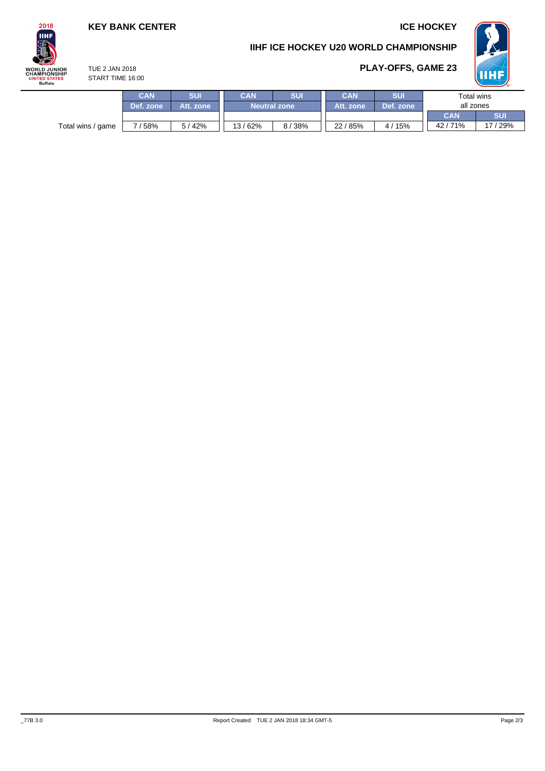### **KEY BANK CENTER ICE HOCKEY**

TUE 2 JAN 2018 START TIME 16:00

### **IIHF ICE HOCKEY U20 WORLD CHAMPIONSHIP**



# **PLAY-OFFS, GAME 23**



|                   | CAN       | <b>SUI</b> | SUI<br>CAN          |       | CAN       | <b>SUI</b>            |            | Total wins |
|-------------------|-----------|------------|---------------------|-------|-----------|-----------------------|------------|------------|
|                   | Def. zone | Att. zone  | <b>Neutral zone</b> |       | Att. zone | Def. zone             | all zones  |            |
|                   |           |            |                     |       |           |                       | <b>CAN</b> | <b>SUI</b> |
| Total wins / game | 58%       | 5 / 42%    | 13/62%              | 8/38% | 22/85%    | 15%<br>$\overline{4}$ | 42/71%     | 17 / 29%   |